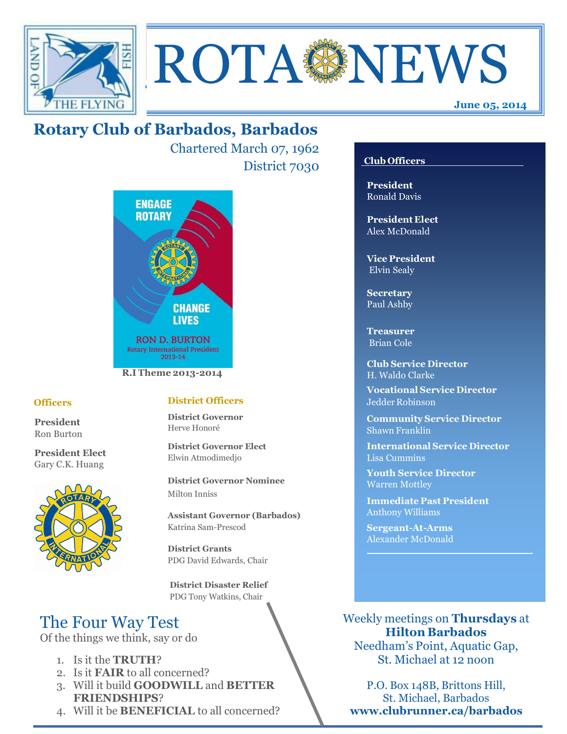



Chartered March 07, 1962 District 7030



### **Officers**

**President** Ron Burton

**President Elect** Gary C.K. Huang



### **District Officers**

**District Governor** Herve Honoré

**District Governor Elect** Elwin Atmodimedjo

**District Governor Nominee**  Milton Inniss

**Assistant Governor (Barbados)** Katrina Sam-Prescod

**District Grants**  PDG David Edwards, Chair

 **District Disaster Relief** PDG Tony Watkins, Chair

# The Four Way Test

Of the things we think, say or do

- 1. Is it the **TRUTH**?
- 2. Is it **FAIR** to all concerned?
- 3. Will it build **GOODWILL** and **BETTER FRIENDSHIPS**?
- 4. Will it be **BENEFICIAL** to all concerned?

### **Club Officers**

**June 05, 2014**

**President** Ronald Davis

**President Elect** Alex McDonald

**Vice President** Elvin Sealy

**Secretary** Paul Ashby

**Treasurer** Brian Cole

**Club Service Director** H. Waldo Clarke

**Vocational Service Director** Jedder Robinson

**Community Service Director** Shawn Franklin

**International Service Director** Lisa Cummins

**Youth Service Director** Warren Mottley

**Immediate Past President** Anthony Williams

**Sergeant-At-Arms** Alexander McDonald

Weekly meetings on **Thursdays** at **Hilton Barbados** Needham's Point, Aquatic Gap,

St. Michael at 12 noon

P.O. Box 148B, Brittons Hill, St. Michael, Barbados **www.clubrunner.ca/barbados**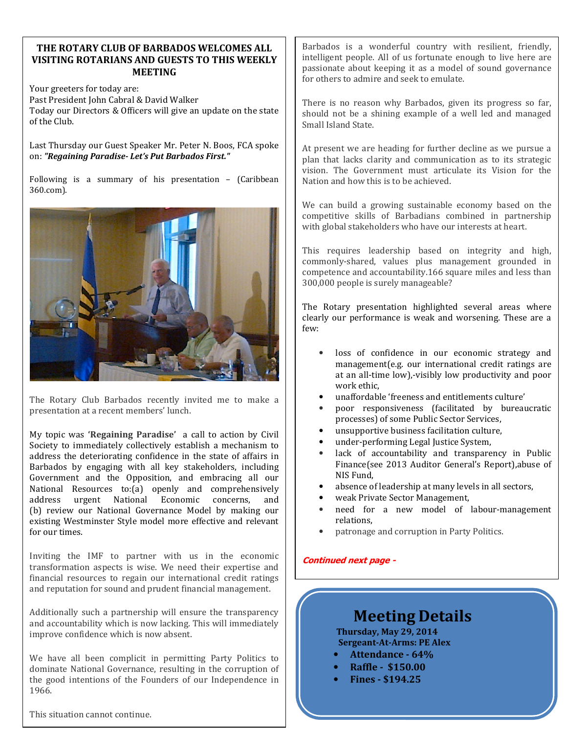#### **THE ROTARY CLUB OF BARBADOS WELCOMES ALL VISITING ROTARIANS AND GUESTS TO THIS WEEKLY MEETING**

Your greeters for today are: Past President John Cabral & David Walker Today our Directors & Officers will give an update on the state of the Club.

Last Thursday our Guest Speaker Mr. Peter N. Boos, FCA spoke on: *"Regaining Paradise- Let's Put Barbados First."*

Following is a summary of his presentation – (Caribbean 360.com).



The Rotary Club Barbados recently invited me to make a presentation at a recent members' lunch.

My topic was **'Regaining Paradise'** a call to action by Civil Society to immediately collectively establish a mechanism to address the deteriorating confidence in the state of affairs in Barbados by engaging with all key stakeholders, including Government and the Opposition, and embracing all our National Resources to:(a) openly and comprehensively address urgent National Economic concerns, and (b) review our National Governance Model by making our existing Westminster Style model more effective and relevant for our times.

Inviting the IMF to partner with us in the economic transformation aspects is wise. We need their expertise and financial resources to regain our international credit ratings and reputation for sound and prudent financial management.

Additionally such a partnership will ensure the transparency and accountability which is now lacking. This will immediately improve confidence which is now absent.

We have all been complicit in permitting Party Politics to dominate National Governance, resulting in the corruption of the good intentions of the Founders of our Independence in 1966.

This situation cannot continue.

Barbados is a wonderful country with resilient, friendly, intelligent people. All of us fortunate enough to live here are passionate about keeping it as a model of sound governance for others to admire and seek to emulate.

There is no reason why Barbados, given its progress so far, should not be a shining example of a well led and managed Small Island State.

At present we are heading for further decline as we pursue a plan that lacks clarity and communication as to its strategic vision. The Government must articulate its Vision for the Nation and how this is to be achieved.

We can build a growing sustainable economy based on the competitive skills of Barbadians combined in partnership with global stakeholders who have our interests at heart.

This requires leadership based on integrity and high, commonly-shared, values plus management grounded in competence and accountability.166 square miles and less than 300,000 people is surely manageable?

The Rotary presentation highlighted several areas where clearly our performance is weak and worsening. These are a few:

- loss of confidence in our economic strategy and management(e.g. our international credit ratings are at an all-time low),-visibly low productivity and poor work ethic,
- unaffordable 'freeness and entitlements culture'
- poor responsiveness (facilitated by bureaucratic processes) of some Public Sector Services,
- unsupportive business facilitation culture,
- under-performing Legal Justice System,
- lack of accountability and transparency in Public Finance(see 2013 Auditor General's Report),abuse of NIS Fund,
- absence of leadership at many levels in all sectors,
- weak Private Sector Management,
- need for a new model of labour-management relations,
- patronage and corruption in Party Politics.

#### **Continued next page -**

# **Meeting Details**

**Thursday, May 29, 2014 Sergeant-At-Arms: PE Alex** 

- **Attendance 64%**
- **Raffle \$150.00**
- **Fines \$194.25**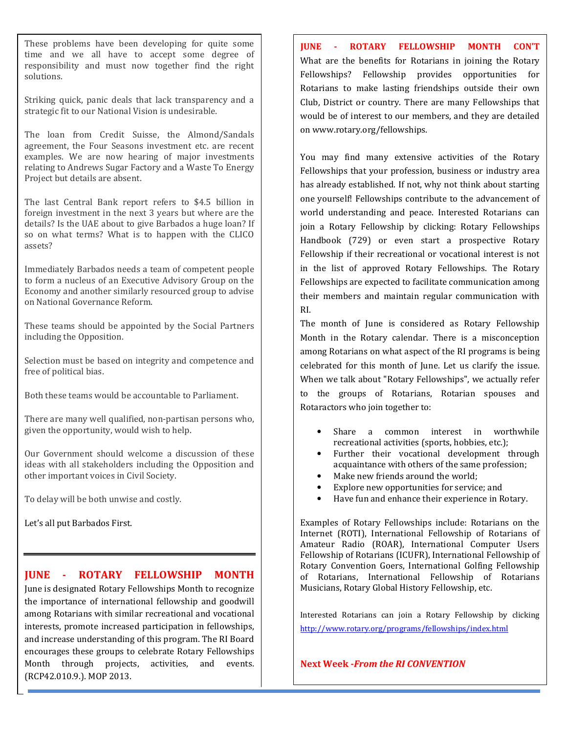These problems have been developing for quite some time and we all have to accept some degree of responsibility and must now together find the right solutions.

Striking quick, panic deals that lack transparency and a strategic fit to our National Vision is undesirable.

The loan from Credit Suisse, the Almond/Sandals agreement, the Four Seasons investment etc. are recent examples. We are now hearing of major investments relating to Andrews Sugar Factory and a Waste To Energy Project but details are absent.

The last Central Bank report refers to \$4.5 billion in foreign investment in the next 3 years but where are the details? Is the UAE about to give Barbados a huge loan? If so on what terms? What is to happen with the CLICO assets?

Immediately Barbados needs a team of competent people to form a nucleus of an Executive Advisory Group on the Economy and another similarly resourced group to advise on National Governance Reform.

These teams should be appointed by the Social Partners including the Opposition.

Selection must be based on integrity and competence and free of political bias.

Both these teams would be accountable to Parliament.

There are many well qualified, non-partisan persons who, given the opportunity, would wish to help.

Our Government should welcome a discussion of these ideas with all stakeholders including the Opposition and other important voices in Civil Society.

To delay will be both unwise and costly.

Let's all put Barbados First.

### **JUNE - ROTARY FELLOWSHIP MONTH**

June is designated Rotary Fellowships Month to recognize the importance of international fellowship and goodwill among Rotarians with similar recreational and vocational interests, promote increased participation in fellowships, and increase understanding of this program. The RI Board encourages these groups to celebrate Rotary Fellowships Month through projects, activities, and events. (RCP42.010.9.). MOP 2013.

**JUNE - ROTARY FELLOWSHIP MONTH CON'T** What are the benefits for Rotarians in joining the Rotary Fellowships? Fellowship provides opportunities for Rotarians to make lasting friendships outside their own Club, District or country. There are many Fellowships that would be of interest to our members, and they are detailed on www.rotary.org/fellowships.

You may find many extensive activities of the Rotary Fellowships that your profession, business or industry area has already established. If not, why not think about starting one yourself! Fellowships contribute to the advancement of world understanding and peace. Interested Rotarians can join a Rotary Fellowship by clicking: Rotary Fellowships Handbook (729) or even start a prospective Rotary Fellowship if their recreational or vocational interest is not in the list of approved Rotary Fellowships. The Rotary Fellowships are expected to facilitate communication among their members and maintain regular communication with RI.

The month of June is considered as Rotary Fellowship Month in the Rotary calendar. There is a misconception among Rotarians on what aspect of the RI programs is being celebrated for this month of June. Let us clarify the issue. When we talk about "Rotary Fellowships", we actually refer to the groups of Rotarians, Rotarian spouses and Rotaractors who join together to:

- Share a common interest in worthwhile recreational activities (sports, hobbies, etc.);
- Further their vocational development through acquaintance with others of the same profession;
- Make new friends around the world;
- Explore new opportunities for service; and
- Have fun and enhance their experience in Rotary.

Examples of Rotary Fellowships include: Rotarians on the Internet (ROTI), International Fellowship of Rotarians of Amateur Radio (ROAR), International Computer Users Fellowship of Rotarians (ICUFR), International Fellowship of Rotary Convention Goers, International Golfing Fellowship of Rotarians, International Fellowship of Rotarians Musicians, Rotary Global History Fellowship, etc.

Interested Rotarians can join a Rotary Fellowship by clicking http://www.rotary.org/programs/fellowships/index.html

 **Next Week -***From the RI CONVENTION*